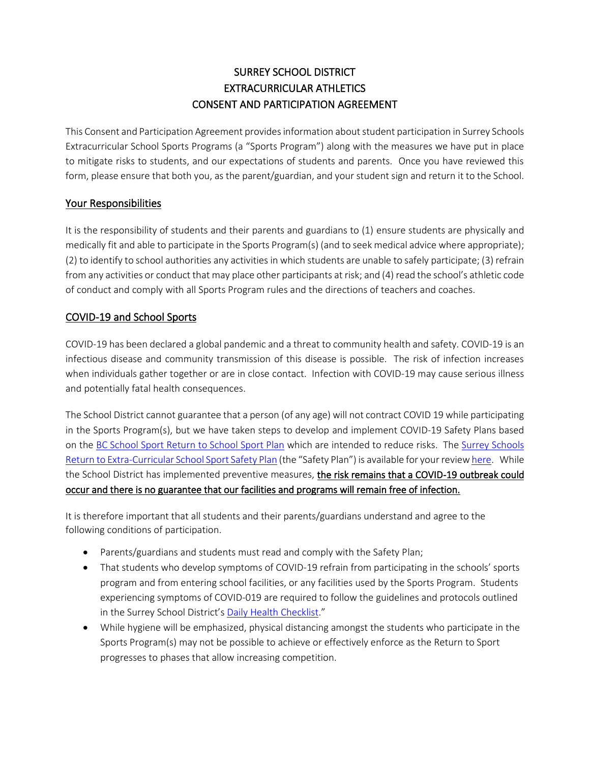# SURREY SCHOOL DISTRICT EXTRACURRICULAR ATHLETICS CONSENT AND PARTICIPATION AGREEMENT

This Consent and Participation Agreement provides information about student participation in Surrey Schools Extracurricular School Sports Programs (a "Sports Program") along with the measures we have put in place to mitigate risks to students, and our expectations of students and parents. Once you have reviewed this form, please ensure that both you, as the parent/guardian, and your student sign and return it to the School.

### Your Responsibilities

It is the responsibility of students and their parents and guardians to (1) ensure students are physically and medically fit and able to participate in the Sports Program(s) (and to seek medical advice where appropriate); (2) to identify to school authorities any activities in which students are unable to safely participate; (3) refrain from any activities or conduct that may place other participants at risk; and (4) read the school's athletic code of conduct and comply with all Sports Program rules and the directions of teachers and coaches.

## COVID-19 and School Sports

COVID-19 has been declared a global pandemic and a threat to community health and safety. COVID-19 is an infectious disease and community transmission of this disease is possible. The risk of infection increases when individuals gather together or are in close contact. Infection with COVID-19 may cause serious illness and potentially fatal health consequences.

The School District cannot guarantee that a person (of any age) will not contract COVID 19 while participating in the Sports Program(s), but we have taken steps to develop and implement COVID-19 Safety Plans based on th[e BC School Sport Return to School Sport Plan](https://www.bcschoolsports.ca/news/bcss-return-school-sport-plan) which are intended to reduce risks. The [Surrey Schools](https://www.surreyschools.ca/covid19/healthsafety/Documents/Surrey%20Schools%20Return%20to%20School%20Sports%20Safety%20Plan.pdf)  [Return to Extra-Curricular School Sport Safety Plan](https://www.surreyschools.ca/covid19/healthsafety/Documents/Surrey%20Schools%20Return%20to%20School%20Sports%20Safety%20Plan.pdf) (the "Safety Plan") is available for your revie[w here.](https://www.surreyschools.ca/covid19/healthsafety/Documents/Surrey%20Schools%20Return%20to%20School%20Sports%20Safety%20Plan.pdf) While the School District has implemented preventive measures, the risk remains that a COVID-19 outbreak could occur and there is no guarantee that our facilities and programs will remain free of infection.

It is therefore important that all students and their parents/guardians understand and agree to the following conditions of participation.

- Parents/guardians and students must read and comply with the Safety Plan;
- That students who develop symptoms of COVID-19 refrain from participating in the schools' sports program and from entering school facilities, or any facilities used by the Sports Program. Students experiencing symptoms of COVID-019 are required to follow the guidelines and protocols outlined in the Surrey School District's [Daily Health Checklist](https://www.surreyschools.ca/covid19/healthsafety/Documents/Daily%20Health%20Check.pdf)."
- While hygiene will be emphasized, physical distancing amongst the students who participate in the Sports Program(s) may not be possible to achieve or effectively enforce as the Return to Sport progresses to phases that allow increasing competition.